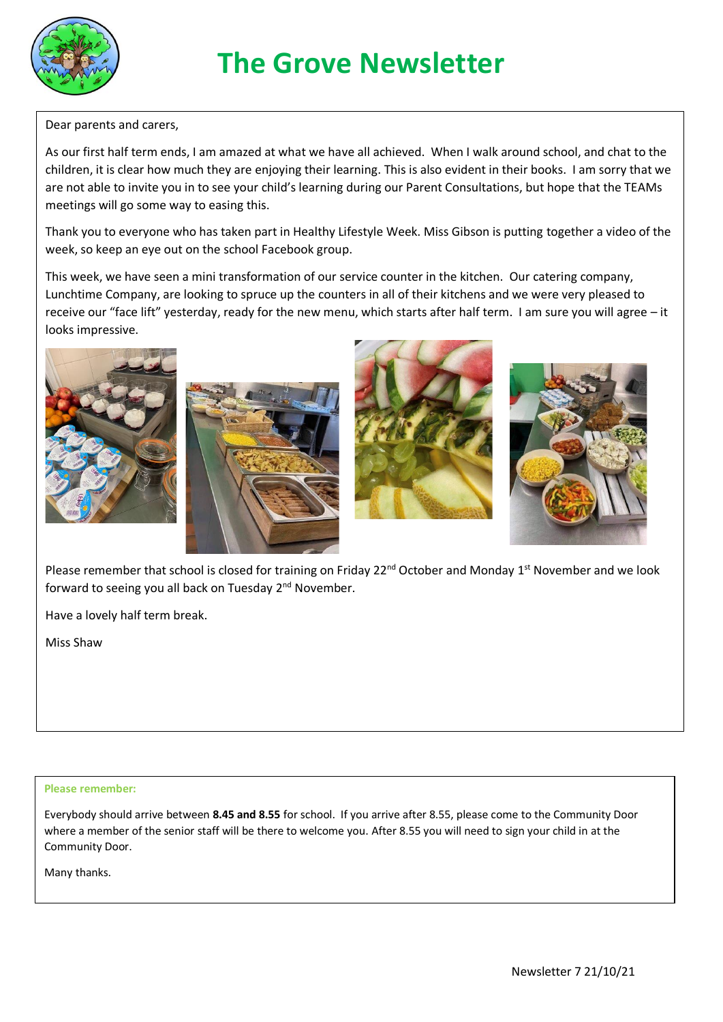

## **The Grove Newsletter**

Dear parents and carers,

As our first half term ends, I am amazed at what we have all achieved. When I walk around school, and chat to the children, it is clear how much they are enjoying their learning. This is also evident in their books. I am sorry that we are not able to invite you in to see your child's learning during our Parent Consultations, but hope that the TEAMs meetings will go some way to easing this.

Thank you to everyone who has taken part in Healthy Lifestyle Week. Miss Gibson is putting together a video of the week, so keep an eye out on the school Facebook group.

This week, we have seen a mini transformation of our service counter in the kitchen. Our catering company, Lunchtime Company, are looking to spruce up the counters in all of their kitchens and we were very pleased to receive our "face lift" yesterday, ready for the new menu, which starts after half term. I am sure you will agree – it looks impressive.









Please remember that school is closed for training on Friday 22<sup>nd</sup> October and Monday 1<sup>st</sup> November and we look forward to seeing you all back on Tuesday 2<sup>nd</sup> November.

Have a lovely half term break.

Miss Shaw

## **Please remember:**

Everybody should arrive between **8.45 and 8.55** for school. If you arrive after 8.55, please come to the Community Door where a member of the senior staff will be there to welcome you. After 8.55 you will need to sign your child in at the Community Door.

Many thanks.